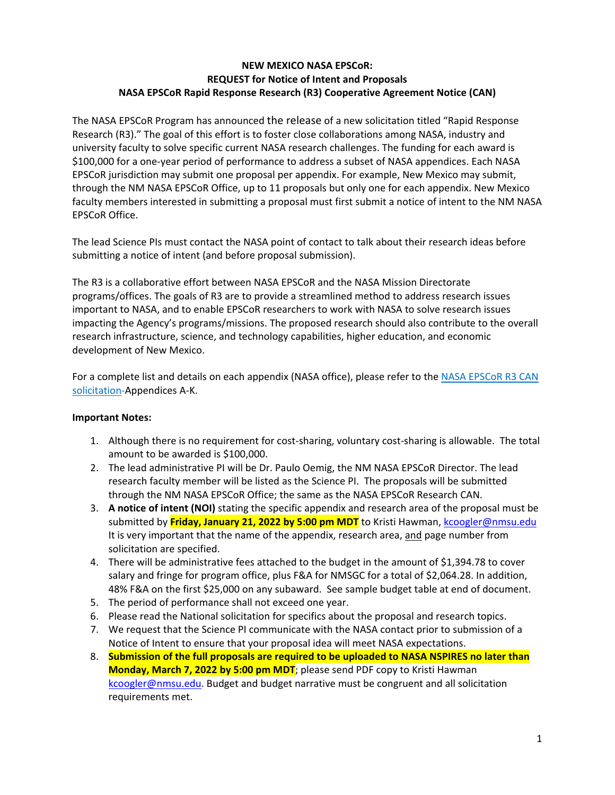## **NEW MEXICO NASA EPSCoR: REQUEST for Notice of Intent and Proposals NASA EPSCoR Rapid Response Research (R3) Cooperative Agreement Notice (CAN)**

The NASA EPSCoR Program has announced the release of a new solicitation titled "Rapid Response Research (R3)." The goal of this effort is to foster close collaborations among NASA, industry and university faculty to solve specific current NASA research challenges. The funding for each award is \$100,000 for a one-year period of performance to address a subset of NASA appendices. Each NASA EPSCoR jurisdiction may submit one proposal per appendix. For example, New Mexico may submit, through the NM NASA EPSCoR Office, up to 11 proposals but only one for each appendix. New Mexico faculty members interested in submitting a proposal must first submit a notice of intent to the NM NASA EPSCoR Office.

The lead Science PIs must contact the NASA point of contact to talk about their research ideas before submitting a notice of intent (and before proposal submission).

The R3 is a collaborative effort between NASA EPSCoR and the NASA Mission Directorate programs/offices. The goals of R3 are to provide a streamlined method to address research issues important to NASA, and to enable EPSCoR researchers to work with NASA to solve research issues impacting the Agency's programs/missions. The proposed research should also contribute to the overall research infrastructure, science, and technology capabilities, higher education, and economic development of New Mexico.

For a complete list and details on each appendix (NASA office), please refer to the [NASA EPSCoR R3 CAN](https://nspires.nasaprs.com/external/viewrepositorydocument/cmdocumentid=855933/solicitationId=%7BBEDBDE59-E1FF-8C25-63F7-313452FDFD09%7D/viewSolicitationDocument=1/2022%20R3%20Solicitation-Final_Release%20v2.pdf)  [solicitation-](https://nspires.nasaprs.com/external/viewrepositorydocument/cmdocumentid=855933/solicitationId=%7BBEDBDE59-E1FF-8C25-63F7-313452FDFD09%7D/viewSolicitationDocument=1/2022%20R3%20Solicitation-Final_Release%20v2.pdf)Appendices A-K.

#### **Important Notes:**

- 1. Although there is no requirement for cost-sharing, voluntary cost-sharing is allowable. The total amount to be awarded is \$100,000.
- 2. The lead administrative PI will be Dr. Paulo Oemig, the NM NASA EPSCoR Director. The lead research faculty member will be listed as the Science PI. The proposals will be submitted through the NM NASA EPSCoR Office; the same as the NASA EPSCoR Research CAN.
- 3. **A notice of intent (NOI)** stating the specific appendix and research area of the proposal must be submitted by **Friday, January 21, 2022 by 5:00 pm MDT** to Kristi Hawman, [kcoogler@nmsu.edu](mailto:kcoogler@nmsu.edu) It is very important that the name of the appendix, research area, and page number from solicitation are specified.
- 4. There will be administrative fees attached to the budget in the amount of \$1,394.78 to cover salary and fringe for program office, plus F&A for NMSGC for a total of \$2,064.28. In addition, 48% F&A on the first \$25,000 on any subaward. See sample budget table at end of document.
- 5. The period of performance shall not exceed one year.
- 6. Please read the National solicitation for specifics about the proposal and research topics.
- 7. We request that the Science PI communicate with the NASA contact prior to submission of a Notice of Intent to ensure that your proposal idea will meet NASA expectations.
- 8. **Submission of the full proposals are required to be uploaded to NASA NSPIRES no later than Monday, March 7, 2022 by 5:00 pm MDT**; please send PDF copy to Kristi Hawman [kcoogler@nmsu.edu.](mailto:kcoogler@nmsu.edu) Budget and budget narrative must be congruent and all solicitation requirements met.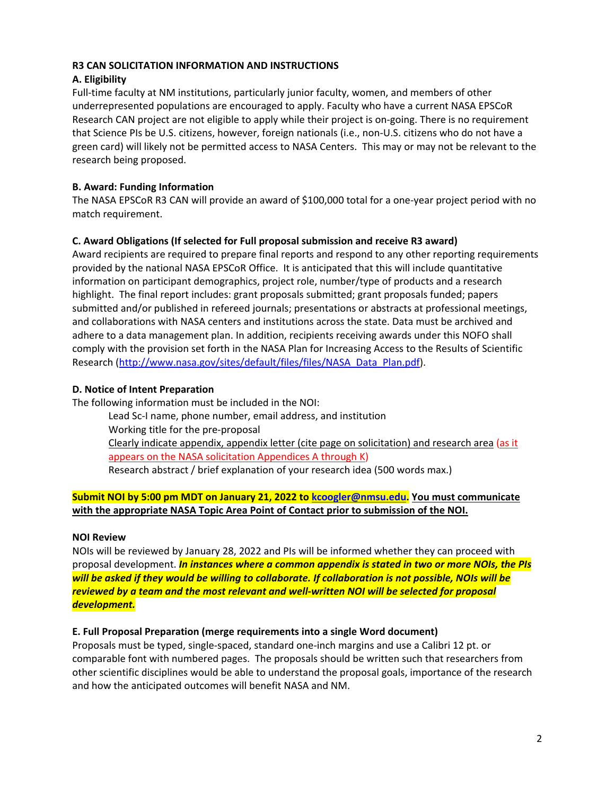### **R3 CAN SOLICITATION INFORMATION AND INSTRUCTIONS**

## **A. Eligibility**

Full-time faculty at NM institutions, particularly junior faculty, women, and members of other underrepresented populations are encouraged to apply. Faculty who have a current NASA EPSCoR Research CAN project are not eligible to apply while their project is on-going. There is no requirement that Science PIs be U.S. citizens, however, foreign nationals (i.e., non-U.S. citizens who do not have a green card) will likely not be permitted access to NASA Centers. This may or may not be relevant to the research being proposed.

## **B. Award: Funding Information**

The NASA EPSCoR R3 CAN will provide an award of \$100,000 total for a one-year project period with no match requirement.

## **C. Award Obligations (If selected for Full proposal submission and receive R3 award)**

Award recipients are required to prepare final reports and respond to any other reporting requirements provided by the national NASA EPSCoR Office. It is anticipated that this will include quantitative information on participant demographics, project role, number/type of products and a research highlight. The final report includes: grant proposals submitted; grant proposals funded; papers submitted and/or published in refereed journals; presentations or abstracts at professional meetings, and collaborations with NASA centers and institutions across the state. Data must be archived and adhere to a data management plan. In addition, recipients receiving awards under this NOFO shall comply with the provision set forth in the NASA Plan for Increasing Access to the Results of Scientific Research [\(http://www.nasa.gov/sites/default/files/files/NASA\\_Data\\_Plan.pdf\)](http://www.nasa.gov/sites/default/files/files/NASA_Data_Plan.pdf).

## **D. Notice of Intent Preparation**

The following information must be included in the NOI:

Lead Sc-I name, phone number, email address, and institution Working title for the pre-proposal Clearly indicate appendix, appendix letter (cite page on solicitation) and research area (as it appears on the NASA solicitation Appendices A through K) Research abstract / brief explanation of your research idea (500 words max.)

## **Submit NOI by 5:00 pm MDT on January 21, 2022 to [kcoogler@nmsu.edu.](mailto:kcoogler@nmsu.edu) You must communicate with the appropriate NASA Topic Area Point of Contact prior to submission of the NOI.**

## **NOI Review**

NOIs will be reviewed by January 28, 2022 and PIs will be informed whether they can proceed with proposal development. *In instances where a common appendix is stated in two or more NOIs, the PIs will be asked if they would be willing to collaborate. If collaboration is not possible, NOIs will be reviewed by a team and the most relevant and well-written NOI will be selected for proposal development.*

## **E. Full Proposal Preparation (merge requirements into a single Word document)**

Proposals must be typed, single-spaced, standard one-inch margins and use a Calibri 12 pt. or comparable font with numbered pages. The proposals should be written such that researchers from other scientific disciplines would be able to understand the proposal goals, importance of the research and how the anticipated outcomes will benefit NASA and NM.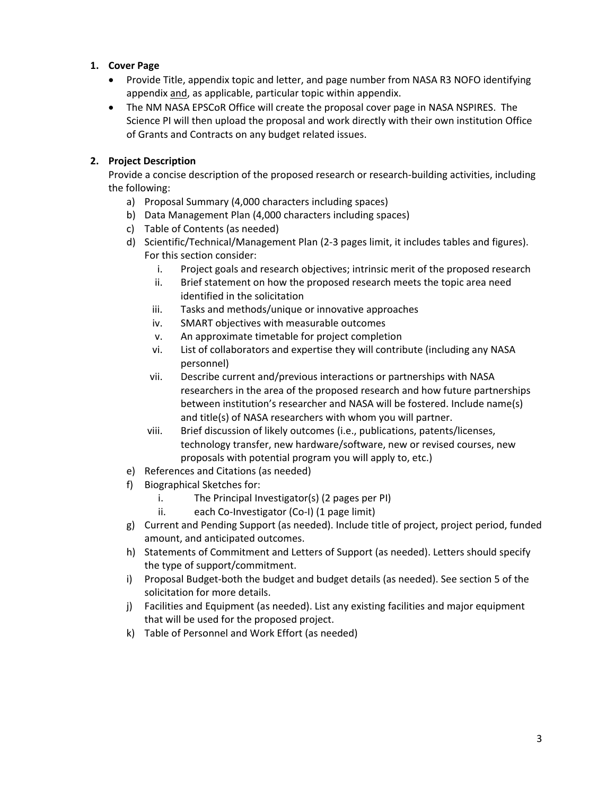## **1. Cover Page**

- Provide Title, appendix topic and letter, and page number from NASA R3 NOFO identifying appendix and, as applicable, particular topic within appendix.
- The NM NASA EPSCoR Office will create the proposal cover page in NASA NSPIRES. The Science PI will then upload the proposal and work directly with their own institution Office of Grants and Contracts on any budget related issues.

# **2. Project Description**

Provide a concise description of the proposed research or research-building activities, including the following:

- a) Proposal Summary (4,000 characters including spaces)
- b) Data Management Plan (4,000 characters including spaces)
- c) Table of Contents (as needed)
- d) Scientific/Technical/Management Plan (2-3 pages limit, it includes tables and figures). For this section consider:
	- i. Project goals and research objectives; intrinsic merit of the proposed research
	- ii. Brief statement on how the proposed research meets the topic area need identified in the solicitation
	- iii. Tasks and methods/unique or innovative approaches
	- iv. SMART objectives with measurable outcomes
	- v. An approximate timetable for project completion
	- vi. List of collaborators and expertise they will contribute (including any NASA personnel)
	- vii. Describe current and/previous interactions or partnerships with NASA researchers in the area of the proposed research and how future partnerships between institution's researcher and NASA will be fostered. Include name(s) and title(s) of NASA researchers with whom you will partner.
	- viii. Brief discussion of likely outcomes (i.e., publications, patents/licenses, technology transfer, new hardware/software, new or revised courses, new proposals with potential program you will apply to, etc.)
- e) References and Citations (as needed)
- f) Biographical Sketches for:
	- i. The Principal Investigator(s) (2 pages per PI)
	- ii. each Co-Investigator (Co-I) (1 page limit)
- g) Current and Pending Support (as needed). Include title of project, project period, funded amount, and anticipated outcomes.
- h) Statements of Commitment and Letters of Support (as needed). Letters should specify the type of support/commitment.
- i) Proposal Budget-both the budget and budget details (as needed). See section 5 of the solicitation for more details.
- j) Facilities and Equipment (as needed). List any existing facilities and major equipment that will be used for the proposed project.
- k) Table of Personnel and Work Effort (as needed)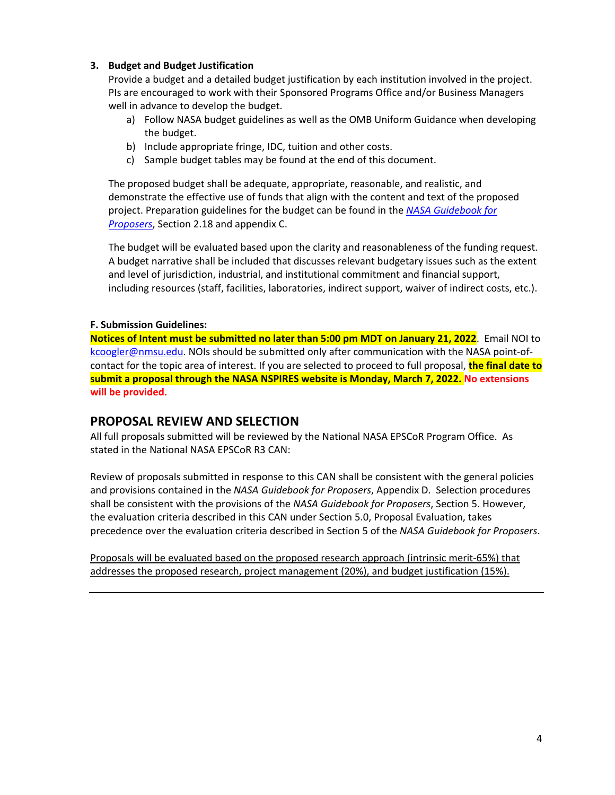## **3. Budget and Budget Justification**

Provide a budget and a detailed budget justification by each institution involved in the project. PIs are encouraged to work with their Sponsored Programs Office and/or Business Managers well in advance to develop the budget.

- a) Follow NASA budget guidelines as well as the OMB Uniform Guidance when developing the budget.
- b) Include appropriate fringe, IDC, tuition and other costs.
- c) Sample budget tables may be found at the end of this document.

The proposed budget shall be adequate, appropriate, reasonable, and realistic, and demonstrate the effective use of funds that align with the content and text of the proposed project. Preparation guidelines for the budget can be found in the *[NASA Guidebook for](https://www.nasa.gov/sites/default/files/atoms/files/2021_ed._nasa_guidebook_for_proposers.pdf)  [Proposers](https://www.nasa.gov/sites/default/files/atoms/files/2021_ed._nasa_guidebook_for_proposers.pdf)*, Section 2.18 and appendix C.

The budget will be evaluated based upon the clarity and reasonableness of the funding request. A budget narrative shall be included that discusses relevant budgetary issues such as the extent and level of jurisdiction, industrial, and institutional commitment and financial support, including resources (staff, facilities, laboratories, indirect support, waiver of indirect costs, etc.).

### **F. Submission Guidelines:**

**Notices of Intent must be submitted no later than 5:00 pm MDT on January 21, 2022**. Email NOI to [kcoogler@nmsu.edu.](mailto:kcoogler@nmsu.edu) NOIs should be submitted only after communication with the NASA point-ofcontact for the topic area of interest. If you are selected to proceed to full proposal, **the final date to submit a proposal through the NASA NSPIRES website is Monday, March 7, 2022. No extensions will be provided.** 

# **PROPOSAL REVIEW AND SELECTION**

All full proposals submitted will be reviewed by the National NASA EPSCoR Program Office. As stated in the National NASA EPSCoR R3 CAN:

Review of proposals submitted in response to this CAN shall be consistent with the general policies and provisions contained in the *NASA Guidebook for Proposers*, Appendix D. Selection procedures shall be consistent with the provisions of the *NASA Guidebook for Proposers*, Section 5. However, the evaluation criteria described in this CAN under Section 5.0, Proposal Evaluation, takes precedence over the evaluation criteria described in Section 5 of the *NASA Guidebook for Proposers*.

Proposals will be evaluated based on the proposed research approach (intrinsic merit-65%) that addresses the proposed research, project management (20%), and budget justification (15%).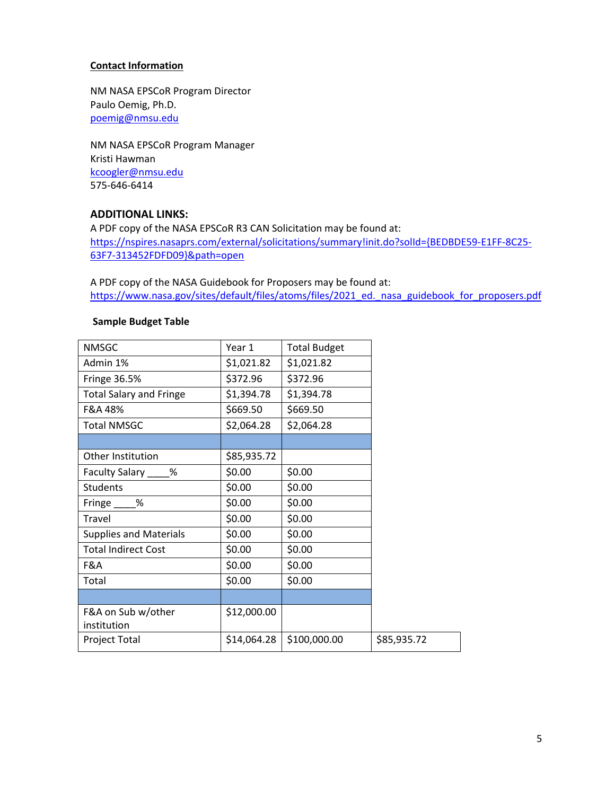#### **Contact Information**

NM NASA EPSCoR Program Director Paulo Oemig, Ph.D. [poemig@nmsu.edu](mailto:poemig@nmsu.edu)

NM NASA EPSCoR Program Manager Kristi Hawman [kcoogler@nmsu.edu](mailto:kcoogler@nmsu.edu) 575-646-6414

### **ADDITIONAL LINKS:**

A PDF copy of the NASA EPSCoR R3 CAN Solicitation may be found at: [https://nspires.nasaprs.com/external/solicitations/summary!init.do?solId={BEDBDE59-E1FF-8C25-](https://nspires.nasaprs.com/external/solicitations/summary!init.do?solId=%7bBEDBDE59-E1FF-8C25-63F7-313452FDFD09%7d&path=open) [63F7-313452FDFD09}&path=open](https://nspires.nasaprs.com/external/solicitations/summary!init.do?solId=%7bBEDBDE59-E1FF-8C25-63F7-313452FDFD09%7d&path=open)

A PDF copy of the NASA Guidebook for Proposers may be found at: [https://www.nasa.gov/sites/default/files/atoms/files/2021\\_ed.\\_nasa\\_guidebook\\_for\\_proposers.pdf](https://www.nasa.gov/sites/default/files/atoms/files/2021_ed._nasa_guidebook_for_proposers.pdf)

#### **Sample Budget Table**

| Year 1      | <b>Total Budget</b> |             |
|-------------|---------------------|-------------|
| \$1,021.82  | \$1,021.82          |             |
| \$372.96    | \$372.96            |             |
| \$1,394.78  | \$1,394.78          |             |
| \$669.50    | \$669.50            |             |
| \$2,064.28  | \$2,064.28          |             |
|             |                     |             |
| \$85,935.72 |                     |             |
| \$0.00      | \$0.00              |             |
| \$0.00      | \$0.00              |             |
| \$0.00      | \$0.00              |             |
| \$0.00      | \$0.00              |             |
| \$0.00      | \$0.00              |             |
| \$0.00      | \$0.00              |             |
| \$0.00      | \$0.00              |             |
| \$0.00      | \$0.00              |             |
|             |                     |             |
| \$12,000.00 |                     |             |
|             |                     |             |
| \$14,064.28 | \$100,000.00        | \$85,935.72 |
|             |                     |             |